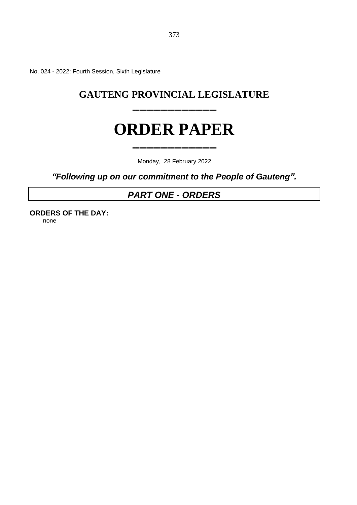No. 024 - 2022: Fourth Session, Sixth Legislature

## **GAUTENG PROVINCIAL LEGISLATURE**

**========================**

**========================**

# **ORDER PAPER**

Monday, 28 February 2022

*"Following up on our commitment to the People of Gauteng".*

## *PART ONE - ORDERS*

**ORDERS OF THE DAY:** none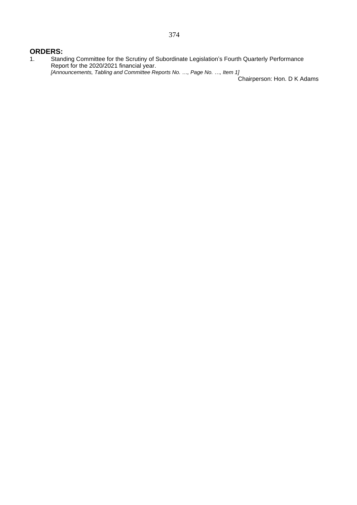### **ORDERS:**

1. Standing Committee for the Scrutiny of Subordinate Legislation's Fourth Quarterly Performance Report for the 2020/2021 financial year. *[Announcements, Tabling and Committee Reports No. …, Page No. …, Item 1]*

Chairperson: Hon. D K Adams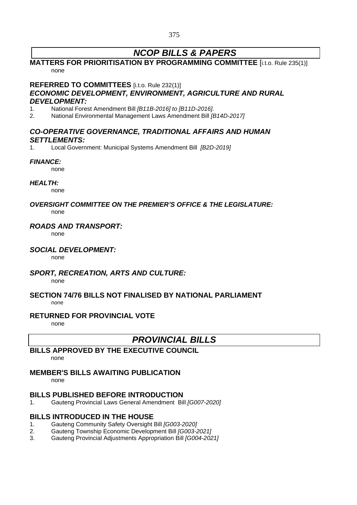## *NCOP BILLS & PAPERS*

## **MATTERS FOR PRIORITISATION BY PROGRAMMING COMMITTEE** [i.t.o. Rule 235(1)] none

#### **REFERRED TO COMMITTEES** [i.t.o. Rule 232(1)]

## *ECONOMIC DEVELOPMENT, ENVIRONMENT, AGRICULTURE AND RURAL DEVELOPMENT:*

- 1. National Forest Amendment Bill *[B11B-2016] to [B11D-2016].*
- 2. National Environmental Management Laws Amendment Bill *[B14D-2017]*

## *CO-OPERATIVE GOVERNANCE, TRADITIONAL AFFAIRS AND HUMAN SETTLEMENTS:*

1. Local Government: Municipal Systems Amendment Bill *[B2D-2019]*

#### *FINANCE:*

none

#### *HEALTH:*

none

#### *OVERSIGHT COMMITTEE ON THE PREMIER'S OFFICE & THE LEGISLATURE:* none

## *ROADS AND TRANSPORT:*

none

### *SOCIAL DEVELOPMENT:*

none

### *SPORT, RECREATION, ARTS AND CULTURE:*

none

#### **SECTION 74/76 BILLS NOT FINALISED BY NATIONAL PARLIAMENT** none

## **RETURNED FOR PROVINCIAL VOTE**

none

## *PROVINCIAL BILLS*

## **BILLS APPROVED BY THE EXECUTIVE COUNCIL**

none

## **MEMBER'S BILLS AWAITING PUBLICATION**

none

## **BILLS PUBLISHED BEFORE INTRODUCTION**

1. Gauteng Provincial Laws General Amendment Bill *[G007-2020]*

## **BILLS INTRODUCED IN THE HOUSE**

- 1. Gauteng Community Safety Oversight Bill *[G003-2020]*
- 2. Gauteng Township Economic Development Bill *[G003-2021]*
- 3. Gauteng Provincial Adjustments Appropriation Bill *[G004-2021]*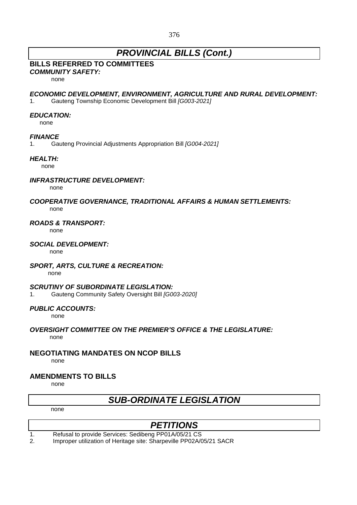## *PROVINCIAL BILLS (Cont.)*

## **BILLS REFERRED TO COMMITTEES**

*COMMUNITY SAFETY:*

none

### *ECONOMIC DEVELOPMENT, ENVIRONMENT, AGRICULTURE AND RURAL DEVELOPMENT:*

1. Gauteng Township Economic Development Bill *[G003-2021]*

## *EDUCATION:*

none

### *FINANCE*

1. Gauteng Provincial Adjustments Appropriation Bill *[G004-2021]*

## *HEALTH:*

none

### *INFRASTRUCTURE DEVELOPMENT:*

none

#### *COOPERATIVE GOVERNANCE, TRADITIONAL AFFAIRS & HUMAN SETTLEMENTS:* none

### *ROADS & TRANSPORT:*

none

#### *SOCIAL DEVELOPMENT:*

none

### *SPORT, ARTS, CULTURE & RECREATION:*

none

### *SCRUTINY OF SUBORDINATE LEGISLATION:*

1. Gauteng Community Safety Oversight Bill *[G003-2020]*

### *PUBLIC ACCOUNTS:*

none

#### *OVERSIGHT COMMITTEE ON THE PREMIER'S OFFICE & THE LEGISLATURE:* none

## **NEGOTIATING MANDATES ON NCOP BILLS**

none

## **AMENDMENTS TO BILLS**

none

## *SUB-ORDINATE LEGISLATION*

none

## *PETITIONS*

1. Refusal to provide Services: Sedibeng PP01A/05/21 CS

2. Improper utilization of Heritage site: Sharpeville PP02A/05/21 SACR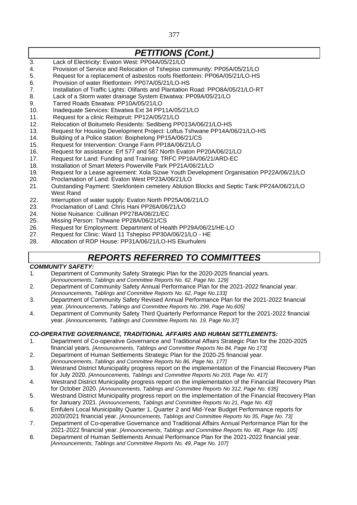## *PETITIONS (Cont.)*

- 3. Lack of Electricity: Evaton West: PP04A/05/21/LO
- 4. Provision of Service and Relocation of Tshepiso community: PP05A/05/21/LO
- 5. Request for a replacement of asbestos roofs Rietfontein: PP06A/05/21/LO-HS
- 6. Provision of water Rietfontein: PP07A/05/21/LO-HS
- 7. Installation of Traffic Lights: Olifants and Plantation Road: PPO8A/05/21/LO-RT
- 8. Lack of a Storm water drainage System Etwatwa: PP09A/05/21/LO
- 9. Tarred Roads Etwatwa: PP10A/05/21/LO
- 10. Inadequate Services: Etwatwa Ext 34 PP11A/05/21/LO
- 11. Request for a clinic Reitspruit: PP12A/05/21/LO
- 12. Relocation of Boitumelo Residents: Sedibeng PP013A/06/21/LO-HS
- 13. Request for Housing Development Project: Loftus Tshwane PP14A/06/21/LO-HS
- 14. Building of a Police station: Boiphelong PP15A/06/21/CS
- 15. Request for Intervention: Orange Farm PP18A/06/21/LO
- 16. Request for assistance: Erf 577 and 587 North Evaton PP20A/06/21/LO
- 17. Request for Land: Funding and Training: TRFC PP16A/06/21/ARD-EC
- 18. Installation of Smart Meters Powerville Park PP21A/06/21/LO
- 19. Request for a Lease agreement: Xola Sizwe Youth Development Organisation PP22A/06/21/LO
- 20. Proclamation of Land: Evaton West PP23A/06/21/LO
- 21. Outstanding Payment: Sterkfontein cemetery Ablution Blocks and Septic Tank:PP24A/06/21/LO West Rand
- 22. Interruption of water supply: Evaton North PP25A/06/21/LO
- 23. Proclamation of Land: Chris Hani PP26A/06/21/LO
- 24. Noise Nuisance: Cullinan PP27BA/06/21/EC
- 25. Missing Person: Tshwane PP28A/06/21/CS
- 26. Request for Employment: Department of Health PP29A/06/21/HE-LO
- 27. Request for Clinic: Ward 11 Tshepiso PP30A/06/21/LO HE
- 28. Allocation of RDP House: PP31A/06/21/LO-HS Ekurhuleni

## *REPORTS REFERRED TO COMMITTEES*

### *COMMUNITY SAFETY:*

- 1*.* Department of Community Safety Strategic Plan for the 2020-2025 financial years. *[Announcements, Tablings and Committee Reports No. 62, Page No. 129]*
- 2*.* Department of Community Safety Annual Performance Plan for the 2021-2022 financial year. *[Announcements, Tablings and Committee Reports No. 62, Page No.133]*
- 3. Department of Community Safety Revised Annual Performance Plan for the 2021-2022 financial year. *[Announcements, Tablings and Committee Reports No. 299, Page No.605]*
- 4. Department of Community Safety Third Quarterly Performance Report for the 2021-2022 financial year. *[Announcements, Tablings and Committee Reports No. 19, Page No.37]*

### *CO-OPERATIVE GOVERNANCE, TRADITIONAL AFFAIRS AND HUMAN SETTLEMENTS:*

- 1. Department of Co-operative Governance and Traditional Affairs Strategic Plan for the 2020-2025 financial years. *[Announcements, Tablings and Committee Reports No 84, Page No 173]*
- 2. Department of Human Settlements Strategic Plan for the 2020-25 financial year.
- *[Announcements, Tablings and Committee Reports No 86, Page No. 177]*
- 3. Westrand District Municipality progress report on the implementation of the Financial Recovery Plan for July 2020. *[Announcements, Tablings and Committee Reports No 203, Page No. 417]*
- 4. Westrand District Municipality progress report on the implementation of the Financial Recovery Plan for October 2020. *[Announcements, Tablings and Committee Reports No 312, Page No. 635]*
- 5. Westrand District Municipality progress report on the implementation of the Financial Recovery Plan for January 2021. *[Announcements, Tablings and Committee Reports No 21, Page No. 43]*
- 6. Emfuleni Local Municipality Quarter 1, Quarter 2 and Mid-Year Budget Performance reports for 2020/2021 financial year. *[Announcements, Tablings and Committee Reports No 35, Page No. 73]*
- 7. Department of Co-operative Governance and Traditional Affairs Annual Performance Plan for the 2021-2022 financial year. *[Announcements, Tablings and Committee Reports No. 48, Page No. 105]*
- 8. Department of Human Settlements Annual Performance Plan for the 2021-2022 financial year. *[Announcements, Tablings and Committee Reports No. 49, Page No. 107]*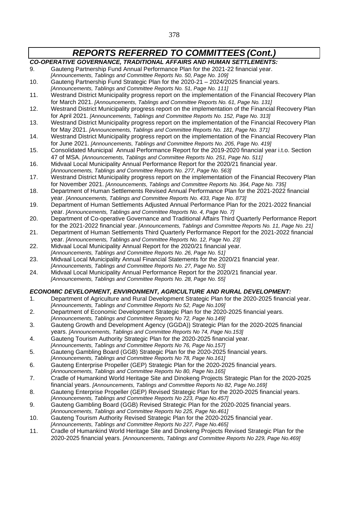- *CO-OPERATIVE GOVERNANCE, TRADITIONAL AFFAIRS AND HUMAN SETTLEMENTS:*
- 9. Gauteng Partnership Fund Annual Performance Plan for the 2021-22 financial year.
- *[Announcements, Tablings and Committee Reports No. 50, Page No. 109]* 10. Gauteng Partnership Fund Strategic Plan for the 2020-21 – 2024/2025 financial years.
- *[Announcements, Tablings and Committee Reports No. 51, Page No. 111]*
- 11. Westrand District Municipality progress report on the implementation of the Financial Recovery Plan for March 2021. *[Announcements, Tablings and Committee Reports No. 61, Page No. 131]*
- 12. Westrand District Municipality progress report on the implementation of the Financial Recovery Plan for April 2021. *[Announcements, Tablings and Committee Reports No. 152, Page No. 313]*
- 13. Westrand District Municipality progress report on the implementation of the Financial Recovery Plan for May 2021. *[Announcements, Tablings and Committee Reports No. 181, Page No. 371]*
- 14. Westrand District Municipality progress report on the implementation of the Financial Recovery Plan for June 2021. *[Announcements, Tablings and Committee Reports No. 205, Page No. 419]*
- 15. Consolidated Municipal Annual Performance Report for the 2019-2020 financial year i.t.o. Section 47 of MSA. *[Announcements, Tablings and Committee Reports No. 251, Page No. 511]*
- 16. Midvaal Local Municipality Annual Performance Report for the 2020/21 financial year.
	- *[Announcements, Tablings and Committee Reports No. 277, Page No. 563]*
- 17. Westrand District Municipality progress report on the implementation of the Financial Recovery Plan for November 2021. *[Announcements, Tablings and Committee Reports No. 364, Page No. 735]*
- 18. Department of Human Settlements Revised Annual Performance Plan for the 2021-2022 financial year. *[Announcements, Tablings and Committee Reports No. 433, Page No. 873]*
- 19. Department of Human Settlements Adjusted Annual Performance Plan for the 2021-2022 financial year. *[Announcements, Tablings and Committee Reports No. 4, Page No. 7]*
- 20. Department of Co-operative Governance and Traditional Affairs Third Quarterly Performance Report for the 2021-2022 financial year. *[Announcements, Tablings and Committee Reports No. 11, Page No. 21]*
- 21. Department of Human Settlements Third Quarterly Performance Report for the 2021-2022 financial year. *[Announcements, Tablings and Committee Reports No. 12, Page No. 23]*
- 22. Midvaal Local Municipality Annual Report for the 2020/21 financial year.
- *[Announcements, Tablings and Committee Reports No. 26, Page No. 51]*
- 23. Midvaal Local Municipality Annual Financial Statements for the 2020/21 financial year. *[Announcements, Tablings and Committee Reports No. 27, Page No. 53]*
- 24. Midvaal Local Municipality Annual Performance Report for the 2020/21 financial year. *[Announcements, Tablings and Committee Reports No. 28, Page No. 55]*

### *ECONOMIC DEVELOPMENT, ENVIRONMENT, AGRICULTURE AND RURAL DEVELOPMENT:*

- 1. Department of Agriculture and Rural Development Strategic Plan for the 2020-2025 financial year. *[Announcements, Tablings and Committee Reports No 52, Page No.109]*
- 2. Department of Economic Development Strategic Plan for the 2020-2025 financial years.
- *[Announcements, Tablings and Committee Reports No 72, Page No.149]* 3. Gauteng Growth and Development Agency (GGDA)) Strategic Plan for the 2020-2025 financial
- years. *[Announcements, Tablings and Committee Reports No 74, Page No.153]* 4. Gauteng Tourism Authority Strategic Plan for the 2020-2025 financial year.
- *[Announcements, Tablings and Committee Reports No 76, Page No.157]*
- 5. Gauteng Gambling Board (GGB) Strategic Plan for the 2020-2025 financial years.
- *[Announcements, Tablings and Committee Reports No 78, Page No.161]*
- 6. Gauteng Enterprise Propeller (GEP) Strategic Plan for the 2020-2025 financial years. *[Announcements, Tablings and Committee Reports No 80, Page No.165]*
- 7. Cradle of Humankind World Heritage Site and Dinokeng Projects Strategic Plan for the 2020-2025 financial years. *[Announcements, Tablings and Committee Reports No 82, Page No.169]*
- 8. Gauteng Enterprise Propeller (GEP) Revised Strategic Plan for the 2020-2025 financial years.
- *[Announcements, Tablings and Committee Reports No 223, Page No.457]*
- 9. Gauteng Gambling Board (GGB) Revised Strategic Plan for the 2020-2025 financial years. *[Announcements, Tablings and Committee Reports No 225, Page No.461]*
- 10. Gauteng Tourism Authority Revised Strategic Plan for the 2020-2025 financial year. *[Announcements, Tablings and Committee Reports No 227, Page No.465]*
- 11. Cradle of Humankind World Heritage Site and Dinokeng Projects Revised Strategic Plan for the 2020-2025 financial years. *[Announcements, Tablings and Committee Reports No 229, Page No.469]*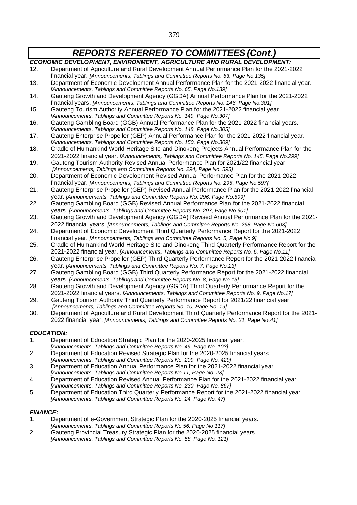#### *ECONOMIC DEVELOPMENT, ENVIRONMENT, AGRICULTURE AND RURAL DEVELOPMENT:*

- 12. Department of Agriculture and Rural Development Annual Performance Plan for the 2021-2022 financial year. *[Announcements, Tablings and Committee Reports No. 63, Page No.135]*
- 13. Department of Economic Development Annual Performance Plan for the 2021-2022 financial year. *[Announcements, Tablings and Committee Reports No. 65, Page No.139]*
- 14. Gauteng Growth and Development Agency (GGDA) Annual Performance Plan for the 2021-2022 financial years. *[Announcements, Tablings and Committee Reports No. 146, Page No.301]*
- 15. Gauteng Tourism Authority Annual Performance Plan for the 2021-2022 financial year. *[Announcements, Tablings and Committee Reports No. 149, Page No.307]*
- 16. Gauteng Gambling Board (GGB) Annual Performance Plan for the 2021-2022 financial years. *[Announcements, Tablings and Committee Reports No. 148, Page No.305]*
- 17. Gauteng Enterprise Propeller (GEP) Annual Performance Plan for the 2021-2022 financial year. *[Announcements, Tablings and Committee Reports No. 150, Page No.309]*
- 18. Cradle of Humankind World Heritage Site and Dinokeng Projects Annual Performance Plan for the 2021-2022 financial year. *[Announcements, Tablings and Committee Reports No. 145, Page No.299]*
- 19. Gauteng Tourism Authority Revised Annual Performance Plan for 2021/22 financial year. *[Announcements, Tablings and Committee Reports No. 294, Page No. 595]*
- 20. Department of Economic Development Revised Annual Performance Plan for the 2021-2022 financial year. *[Announcements, Tablings and Committee Reports No. 295, Page No.597]*
- 21. Gauteng Enterprise Propeller (GEP) Revised Annual Performance Plan for the 2021-2022 financial year. *[Announcements, Tablings and Committee Reports No. 296, Page No.599]*
- 22. Gauteng Gambling Board (GGB) Revised Annual Performance Plan for the 2021-2022 financial years. *[Announcements, Tablings and Committee Reports No. 297, Page No.601]*
- 23. Gauteng Growth and Development Agency (GGDA) Revised Annual Performance Plan for the 2021- 2022 financial years. *[Announcements, Tablings and Committee Reports No. 298, Page No.603]*
- 24. Department of Economic Development Third Quarterly Performance Report for the 2021-2022 financial year. *[Announcements, Tablings and Committee Reports No. 5, Page No.9]*
- 25. Cradle of Humankind World Heritage Site and Dinokeng Third Quarterly Performance Report for the 2021-2022 financial year. *[Announcements, Tablings and Committee Reports No. 6, Page No.11]*
- 26. Gauteng Enterprise Propeller (GEP) Third Quarterly Performance Report for the 2021-2022 financial year. *[Announcements, Tablings and Committee Reports No. 7, Page No.13]*
- 27. Gauteng Gambling Board (GGB) Third Quarterly Performance Report for the 2021-2022 financial years. *[Announcements, Tablings and Committee Reports No. 8, Page No.15]*
- 28. Gauteng Growth and Development Agency (GGDA) Third Quarterly Performance Report for the 2021-2022 financial years. *[Announcements, Tablings and Committee Reports No. 9, Page No.17]*
- 29. Gauteng Tourism Authority Third Quarterly Performance Report for 2021/22 financial year. *[Announcements, Tablings and Committee Reports No. 10, Page No. 19]*
- 30. Department of Agriculture and Rural Development Third Quarterly Performance Report for the 2021- 2022 financial year. *[Announcements, Tablings and Committee Reports No. 21, Page No.41]*

### *EDUCATION:*

- 1. Department of Education Strategic Plan for the 2020-2025 financial year.
- *[Announcements, Tablings and Committee Reports No. 49, Page No. 103]*
- 2. Department of Education Revised Strategic Plan for the 2020-2025 financial years. *[Announcements, Tablings and Committee Reports No. 209, Page No. 429]*
- 3. Department of Education Annual Performance Plan for the 2021-2022 financial year.
- *[Announcements, Tablings and Committee Reports No 11, Page No. 23]* 4. Department of Education Revised Annual Performance Plan for the 2021-2022 financial year.
- *[Announcements, Tablings and Committee Reports No. 230, Page No. 867]*
- 5. Department of Education Third Quarterly Performance Report for the 2021-2022 financial year. *[Announcements, Tablings and Committee Reports No. 24, Page No. 47]*

### *FINANCE:*

- 1. Department of e-Government Strategic Plan for the 2020-2025 financial years.
- *[Announcements, Tablings and Committee Reports No 56, Page No 117]*
- 2. Gauteng Provincial Treasury Strategic Plan for the 2020-2025 financial years. *[Announcements, Tablings and Committee Reports No. 58, Page No. 121]*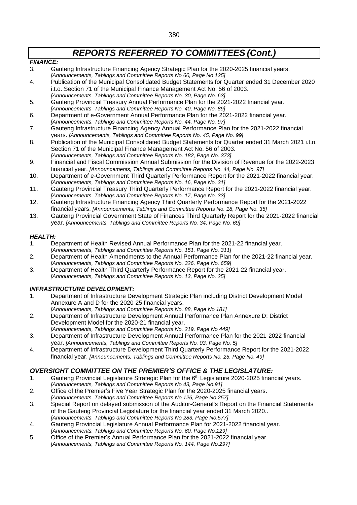#### *FINANCE:*

- 3. Gauteng Infrastructure Financing Agency Strategic Plan for the 2020-2025 financial years. *[Announcements, Tablings and Committee Reports No 60, Page No 125]*
- 4. Publication of the Municipal Consolidated Budget Statements for Quarter ended 31 December 2020 i.t.o. Section 71 of the Municipal Finance Management Act No. 56 of 2003. *[Announcements, Tablings and Committee Reports No. 30, Page No. 63]*
- 5. Gauteng Provincial Treasury Annual Performance Plan for the 2021-2022 financial year.
- *[Announcements, Tablings and Committee Reports No. 40, Page No. 89]*
- 6. Department of e-Government Annual Performance Plan for the 2021-2022 financial year. *[Announcements, Tablings and Committee Reports No. 44, Page No. 97]*
- 7. Gauteng Infrastructure Financing Agency Annual Performance Plan for the 2021-2022 financial years. *[Announcements, Tablings and Committee Reports No. 45, Page No. 99]*
- 8. Publication of the Municipal Consolidated Budget Statements for Quarter ended 31 March 2021 i.t.o. Section 71 of the Municipal Finance Management Act No. 56 of 2003. *[Announcements, Tablings and Committee Reports No. 182, Page No. 373]*
- 9. Financial and Fiscal Commission Annual Submission for the Division of Revenue for the 2022-2023 financial year. *[Announcements, Tablings and Committee Reports No. 44, Page No. 97]*
- 10. Department of e-Government Third Quarterly Performance Report for the 2021-2022 financial year. *[Announcements, Tablings and Committee Reports No. 16, Page No. 31]*
- 11. Gauteng Provincial Treasury Third Quarterly Performance Report for the 2021-2022 financial year. *[Announcements, Tablings and Committee Reports No. 17, Page No. 33]*
- 12. Gauteng Infrastructure Financing Agency Third Quarterly Performance Report for the 2021-2022 financial years. *[Announcements, Tablings and Committee Reports No. 18, Page No. 35]*
- 13. Gauteng Provincial Government State of Finances Third Quarterly Report for the 2021-2022 financial year. *[Announcements, Tablings and Committee Reports No. 34, Page No. 69]*

#### *HEALTH:*

- 1. Department of Health Revised Annual Performance Plan for the 2021-22 financial year. *[Announcements, Tablings and Committee Reports No. 151, Page No. 311]*
- 2. Department of Health Amendments to the Annual Performance Plan for the 2021-22 financial year. *[Announcements, Tablings and Committee Reports No. 326, Page No. 659]*
- 3. Department of Health Third Quarterly Performance Report for the 2021-22 financial year. *[Announcements, Tablings and Committee Reports No. 13, Page No. 25]*

### *INFRASTRUCTURE DEVELOPMENT:*

- 1. Department of Infrastructure Development Strategic Plan including District Development Model Annexure A and D for the 2020-25 financial years.
	- *[Announcements, Tablings and Committee Reports No. 88, Page No 181]*
- 2. Department of Infrastructure Development Annual Performance Plan Annexure D: District Development Model for the 2020-21 financial year.
- *[Announcements, Tablings and Committee Reports No. 219, Page No 449]* 3. Department of Infrastructure Development Annual Performance Plan for the 2021-2022 financial year. *[Announcements, Tablings and Committee Reports No. 03, Page No. 5]*
- 4. Department of Infrastructure Development Third Quarterly Performance Report for the 2021-2022 financial year. *[Announcements, Tablings and Committee Reports No. 25, Page No. 49]*

### *OVERSIGHT COMMITTEE ON THE PREMIER'S OFFICE & THE LEGISLATURE:*

- 1. Gauteng Provincial Legislature Strategic Plan for the 6<sup>th</sup> Legislature 2020-2025 financial years. *[Announcements, Tablings and Committee Reports No 43, Page No.91]*
- 2. Office of the Premier's Five Year Strategic Plan for the 2020-2025 financial years. *[Announcements, Tablings and Committee Reports No 126, Page No.257]*
- 3. Special Report on delayed submission of the Auditor-General's Report on the Financial Statements of the Gauteng Provincial Legislature for the financial year ended 31 March 2020.. *[Announcements, Tablings and Committee Reports No 283, Page No.577]*
- 4. Gauteng Provincial Legislature Annual Performance Plan for 2021-2022 financial year. *[Announcements, Tablings and Committee Reports No. 60, Page No.129]*
- 5. Office of the Premier's Annual Performance Plan for the 2021-2022 financial year. *[Announcements, Tablings and Committee Reports No. 144, Page No.297]*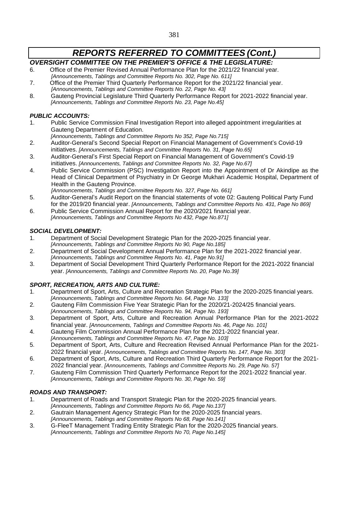## *OVERSIGHT COMMITTEE ON THE PREMIER'S OFFICE & THE LEGISLATURE:*

- 6. Office of the Premier Revised Annual Performance Plan for the 2021/22 financial year. *[Announcements, Tablings and Committee Reports No. 302, Page No. 611]*
- 7. Office of the Premier Third Quarterly Performance Report for the 2021/22 financial year. *[Announcements, Tablings and Committee Reports No. 22, Page No. 43]*
- 8. Gauteng Provincial Legislature Third Quarterly Performance Report for 2021-2022 financial year. *[Announcements, Tablings and Committee Reports No. 23, Page No.45]*

## *PUBLIC ACCOUNTS:*

- 1. Public Service Commission Final Investigation Report into alleged appointment irregularities at Gauteng Department of Education.
	- *[Announcements, Tablings and Committee Reports No 352, Page No.715]*
- 2. Auditor-General's Second Special Report on Financial Management of Government's Covid-19 initiatives. *[Announcements, Tablings and Committee Reports No. 31, Page No.65]*
- 3. Auditor-General's First Special Report on Financial Management of Government's Covid-19 initiatives. *[Announcements, Tablings and Committee Reports No. 32, Page No.67]*
- 4. Public Service Commission (PSC) Investigation Report into the Appointment of Dr Akindipe as the Head of Clinical Department of Psychiatry in Dr George Mukhari Academic Hospital, Department of Health in the Gauteng Province. *[Announcements, Tablings and Committee Reports No. 327, Page No. 661]*
- 5. Auditor-General's Audit Report on the financial statements of vote 02: Gauteng Political Party Fund for the 2019/20 financial year. *[Announcements, Tablings and Committee Reports No. 431, Page No 869]*
- 6. Public Service Commission Annual Report for the 2020/2021 financial year. *[Announcements, Tablings and Committee Reports No 432, Page No.871]*

## *SOCIAL DEVELOPMENT:*

- 1. Department of Social Development Strategic Plan for the 2020-2025 financial year. *[Announcements, Tablings and Committee Reports No 90, Page No.185]*
- 2. Department of Social Development Annual Performance Plan for the 2021-2022 financial year. *[Announcements, Tablings and Committee Reports No. 41, Page No.91]*
- 3. Department of Social Development Third Quarterly Performance Report for the 2021-2022 financial year. *[Announcements, Tablings and Committee Reports No. 20, Page No.39]*

## *SPORT, RECREATION, ARTS AND CULTURE:*

- 1. Department of Sport, Arts, Culture and Recreation Strategic Plan for the 2020-2025 financial years. *[Announcements, Tablings and Committee Reports No. 64, Page No. 133]*
- 2. Gauteng Film Commission Five Year Strategic Plan for the 2020/21-2024/25 financial years. *[Announcements, Tablings and Committee Reports No. 94, Page No. 193]*
- 3. Department of Sport, Arts, Culture and Recreation Annual Performance Plan for the 2021-2022 financial year. *[Announcements, Tablings and Committee Reports No. 46, Page No. 101]*
- 4. Gauteng Film Commission Annual Performance Plan for the 2021-2022 financial year.
- *[Announcements, Tablings and Committee Reports No. 47, Page No. 103]*
- 5. Department of Sport, Arts, Culture and Recreation Revised Annual Performance Plan for the 2021- 2022 financial year. *[Announcements, Tablings and Committee Reports No. 147, Page No. 303]*
- 6. Department of Sport, Arts, Culture and Recreation Third Quarterly Performance Report for the 2021- 2022 financial year. *[Announcements, Tablings and Committee Reports No. 29, Page No. 57]*
- 7. Gauteng Film Commission Third Quarterly Performance Report for the 2021-2022 financial year. *[Announcements, Tablings and Committee Reports No. 30, Page No. 59]*

## *ROADS AND TRANSPORT:*

- 1. Department of Roads and Transport Strategic Plan for the 2020-2025 financial years. *[Announcements, Tablings and Committee Reports No 66, Page No.137]*
- 2. Gautrain Management Agency Strategic Plan for the 2020-2025 financial years. *[Announcements, Tablings and Committee Reports No 68, Page No.141]*
- 3. G-FleeT Management Trading Entity Strategic Plan for the 2020-2025 financial years. *[Announcements, Tablings and Committee Reports No 70, Page No.145]*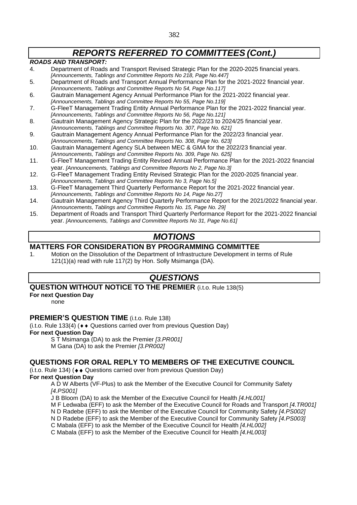#### *ROADS AND TRANSPORT:*

- 4. Department of Roads and Transport Revised Strategic Plan for the 2020-2025 financial years. *[Announcements, Tablings and Committee Reports No 218, Page No.447]*
- 5. Department of Roads and Transport Annual Performance Plan for the 2021-2022 financial year. *[Announcements, Tablings and Committee Reports No 54, Page No.117]*
- 6. Gautrain Management Agency Annual Performance Plan for the 2021-2022 financial year. *[Announcements, Tablings and Committee Reports No 55, Page No.119]*
- 7. G-FleeT Management Trading Entity Annual Performance Plan for the 2021-2022 financial year. *[Announcements, Tablings and Committee Reports No 56, Page No.121]*
- 8. Gautrain Management Agency Strategic Plan for the 2022/23 to 2024/25 financial year.
- *[Announcements, Tablings and Committee Reports No. 307, Page No. 621]* 9. Gautrain Management Agency Annual Performance Plan for the 2022/23 financial year. *[Announcements, Tablings and Committee Reports No. 308, Page No. 623]*
- 10. Gautrain Management Agency SLA between MEC & GMA for the 2022/23 financial year. *[Announcements, Tablings and Committee Reports No. 309, Page No. 625]*
- 11. G-FleeT Management Trading Entity Revised Annual Performance Plan for the 2021-2022 financial year. *[Announcements, Tablings and Committee Reports No 2, Page No.3]*
- 12. G-FleeT Management Trading Entity Revised Strategic Plan for the 2020-2025 financial year. *[Announcements, Tablings and Committee Reports No 3, Page No.5]*
- 13. G-FleeT Management Third Quarterly Performance Report for the 2021-2022 financial year. *[Announcements, Tablings and Committee Reports No 14, Page No.27]*
- 14. Gautrain Management Agency Third Quarterly Performance Report for the 2021/2022 financial year. *[Announcements, Tablings and Committee Reports No. 15, Page No. 29]*
- 15. Department of Roads and Transport Third Quarterly Performance Report for the 2021-2022 financial year. *[Announcements, Tablings and Committee Reports No 31, Page No.61]*

## *MOTIONS*

## **MATTERS FOR CONSIDERATION BY PROGRAMMING COMMITTEE**

1. Motion on the Dissolution of the Department of Infrastructure Development in terms of Rule 121(1)(a) read with rule 117(2) by Hon. Solly Msimanga (DA).

## *QUESTIONS*

## **QUESTION WITHOUT NOTICE TO THE PREMIER** (i.t.o. Rule 138(5)

#### **For next Question Day**

none

### **PREMIER'S QUESTION TIME** (i.t.o. Rule 138)

(i.t.o. Rule 133(4) ( $\leftrightarrow$  Questions carried over from previous Question Day)

## **For next Question Day**

S T Msimanga (DA) to ask the Premier *[3.PR001]*

M Gana (DA) to ask the Premier *[3.PR002]*

### **QUESTIONS FOR ORAL REPLY TO MEMBERS OF THE EXECUTIVE COUNCIL**

 $(i.t. o. Rule 134)$  ( $\leftrightarrow$  Questions carried over from previous Question Day)

**For next Question Day**

A D W Alberts (VF-Plus) to ask the Member of the Executive Council for Community Safety *[4.PS001]*

J B Bloom (DA) to ask the Member of the Executive Council for Health *[4.HL001]*

M F Ledwaba (EFF) to ask the Member of the Executive Council for Roads and Transport *[4.TR001]*

N D Radebe (EFF) to ask the Member of the Executive Council for Community Safety *[4.PS002]*

N D Radebe (EFF) to ask the Member of the Executive Council for Community Safety *[4.PS003]*

C Mabala (EFF) to ask the Member of the Executive Council for Health *[4.HL002]*

C Mabala (EFF) to ask the Member of the Executive Council for Health *[4.HL003]*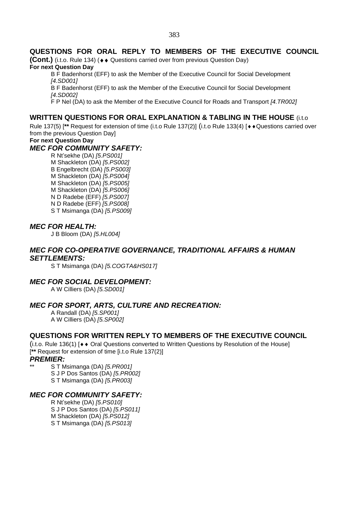## **QUESTIONS FOR ORAL REPLY TO MEMBERS OF THE EXECUTIVE COUNCIL**

**(Cont.)** (i.t.o. Rule 134) ( $\leftrightarrow$  Questions carried over from previous Question Day)

#### **For next Question Day**

B F Badenhorst (EFF) to ask the Member of the Executive Council for Social Development *[4.SD001]*

B F Badenhorst (EFF) to ask the Member of the Executive Council for Social Development *[4.SD002]*

F P Nel (DA) to ask the Member of the Executive Council for Roads and Transport *[4.TR002]*

## **WRITTEN QUESTIONS FOR ORAL EXPLANATION & TABLING IN THE HOUSE** (i.t.o

Rule 137(5) [\*\* Request for extension of time (i.t.o Rule 137(2)] (i.t.o Rule 133(4) [ $\leftrightarrow$  Questions carried over from the previous Question Day]

## **For next Question Day**

## *MEC FOR COMMUNITY SAFETY:*

R Nt'sekhe (DA) *[5.PS001]* M Shackleton (DA) *[5.PS002]* B Engelbrecht (DA) *[5.PS003]* M Shackleton (DA) *[5.PS004]* M Shackleton (DA) *[5.PS005]* M Shackleton (DA) *[5.PS006]* N D Radebe (EFF) *[5.PS007]* N D Radebe (EFF) *[5.PS008]* S T Msimanga (DA) *[5.PS009]*

## *MEC FOR HEALTH:*

J B Bloom (DA) *[5.HL004]*

## *MEC FOR CO-OPERATIVE GOVERNANCE, TRADITIONAL AFFAIRS & HUMAN SETTLEMENTS:*

S T Msimanga (DA) *[5.COGTA&HS017]*

## *MEC FOR SOCIAL DEVELOPMENT:*

A W Cilliers (DA) *[5.SD001]*

## *MEC FOR SPORT, ARTS, CULTURE AND RECREATION:*

A Randall (DA) *[5.SP001]* A W Cilliers (DA) *[5.SP002]*

### **QUESTIONS FOR WRITTEN REPLY TO MEMBERS OF THE EXECUTIVE COUNCIL**

(i.t.o. Rule 136(1)  $\blacktriangleright\blacklozenge$  Oral Questions converted to Written Questions by Resolution of the House] [**\*\*** Request for extension of time [i.t.o Rule 137(2)]

#### *PREMIER:*

\*\* S T Msimanga (DA) *[5.PR001]* S J P Dos Santos (DA) *[5.PR002]* S T Msimanga (DA) *[5.PR003]*

### *MEC FOR COMMUNITY SAFETY:*

R Nt'sekhe (DA) *[5.PS010]* S J P Dos Santos (DA) *[5.PS011]* M Shackleton (DA) *[5.PS012]* S T Msimanga (DA) *[5.PS013]*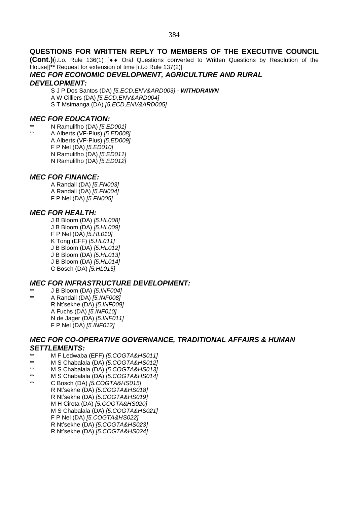## **QUESTIONS FOR WRITTEN REPLY TO MEMBERS OF THE EXECUTIVE COUNCIL**

**(Cont.)**(i.t.o. Rule 136(1) [◆◆ Oral Questions converted to Written Questions by Resolution of the House][**\*\*** Request for extension of time [i.t.o Rule 137(2)]

#### *MEC FOR ECONOMIC DEVELOPMENT, AGRICULTURE AND RURAL DEVELOPMENT:*

S J P Dos Santos (DA) *[5.ECD,ENV&ARD003] - WITHDRAWN* A W Cilliers (DA) *[5.ECD,ENV&ARD004]* S T Msimanga (DA) *[5.ECD,ENV&ARD005]*

## *MEC FOR EDUCATION:*

- \*\* N Ramulifho (DA) *[5.ED001]*
- \*\* A Alberts (VF-Plus) *[5.ED008]* A Alberts (VF-Plus) *[5.ED009]* F P Nel (DA) *[5.ED010]* N Ramulifho (DA) *[5.ED011]* N Ramulifho (DA) *[5.ED012]*

## *MEC FOR FINANCE:*

A Randall (DA) *[5.FN003]* A Randall (DA) *[5.FN004]* F P Nel (DA) *[5.FN005]*

## *MEC FOR HEALTH:*

J B Bloom (DA) *[5.HL008]* J B Bloom (DA) *[5.HL009]* F P Nel (DA) *[5.HL010]* K Tong (EFF) *[5.HL011]* J B Bloom (DA) *[5.HL012]* J B Bloom (DA) *[5.HL013]* J B Bloom (DA) *[5.HL014]* C Bosch (DA) *[5.HL015]*

## *MEC FOR INFRASTRUCTURE DEVELOPMENT:*

\*\* J B Bloom (DA) *[5.INF004]* \*\* A Randall (DA) *[5.INF008]* R Nt'sekhe (DA) *[5.INF009]* A Fuchs (DA) *[5.INF010]* N de Jager (DA) *[5.INF011]* F P Nel (DA) *[5.INF012]*

## *MEC FOR CO-OPERATIVE GOVERNANCE, TRADITIONAL AFFAIRS & HUMAN SETTLEMENTS:*

- \*\* M F Ledwaba (EFF) *[5.COGTA&HS011]*
- \*\* M S Chabalala (DA) *[5.COGTA&HS012]*
- \*\* M S Chabalala (DA) *[5.COGTA&HS013]*
- \*\* M S Chabalala (DA) *[5.COGTA&HS014]*
- \*\* C Bosch (DA) *[5.COGTA&HS015]* R Nt'sekhe (DA) *[5.COGTA&HS018]* R Nt'sekhe (DA) *[5.COGTA&HS019]* M H Cirota (DA) *[5.COGTA&HS020]* M S Chabalala (DA) *[5.COGTA&HS021]* F P Nel (DA) *[5.COGTA&HS022]* R Nt'sekhe (DA) *[5.COGTA&HS023]* R Nt'sekhe (DA) *[5.COGTA&HS024]*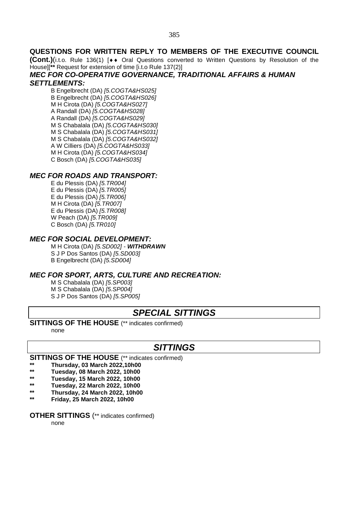### **QUESTIONS FOR WRITTEN REPLY TO MEMBERS OF THE EXECUTIVE COUNCIL**

**(Cont.)**(i.t.o. Rule 136(1) [♦♦ Oral Questions converted to Written Questions by Resolution of the House][**\*\*** Request for extension of time [i.t.o Rule 137(2)]

## *MEC FOR CO-OPERATIVE GOVERNANCE, TRADITIONAL AFFAIRS & HUMAN*

#### *SETTLEMENTS:*

B Engelbrecht (DA) *[5.COGTA&HS025]* B Engelbrecht (DA) *[5.COGTA&HS026]* M H Cirota (DA) *[5.COGTA&HS027]* A Randall (DA) *[5.COGTA&HS028]* A Randall (DA) *[5.COGTA&HS029]* M S Chabalala (DA) *[5.COGTA&HS030]* M S Chabalala (DA) *[5.COGTA&HS031]* M S Chabalala (DA) *[5.COGTA&HS032]* A W Cilliers (DA) *[5.COGTA&HS033]* M H Cirota (DA) *[5.COGTA&HS034]* C Bosch (DA) *[5.COGTA&HS035]*

## *MEC FOR ROADS AND TRANSPORT:*

E du Plessis (DA) *[5.TR004]* E du Plessis (DA) *[5.TR005]* E du Plessis (DA) *[5.TR006]* M H Cirota (DA) *[5.TR007]* E du Plessis (DA) *[5.TR008]* W Peach (DA) *[5.TR009]* C Bosch (DA) *[5.TR010]*

### *MEC FOR SOCIAL DEVELOPMENT:*

M H Cirota (DA) *[5.SD002] - WITHDRAWN* S J P Dos Santos (DA) *[5.SD003]* B Engelbrecht (DA) *[5.SD004]*

### *MEC FOR SPORT, ARTS, CULTURE AND RECREATION:*

M S Chabalala (DA) *[5.SP003]* M S Chabalala (DA) *[5.SP004]* S J P Dos Santos (DA) *[5.SP005]*

## *SPECIAL SITTINGS*

#### **SITTINGS OF THE HOUSE** (\*\* indicates confirmed)

none

## *SITTINGS*

## **SITTINGS OF THE HOUSE** (\*\* indicates confirmed)

- **\*\* Thursday, 03 March 2022,10h00**
- **\*\* Tuesday, 08 March 2022, 10h00**
- **\*\* Tuesday, 15 March 2022, 10h00**
- **\*\* Tuesday, 22 March 2022, 10h00**
- **\*\* Thursday, 24 March 2022, 10h00**
- **\*\* Friday, 25 March 2022, 10h00**

### **OTHER SITTINGS** (\*\* indicates confirmed)

none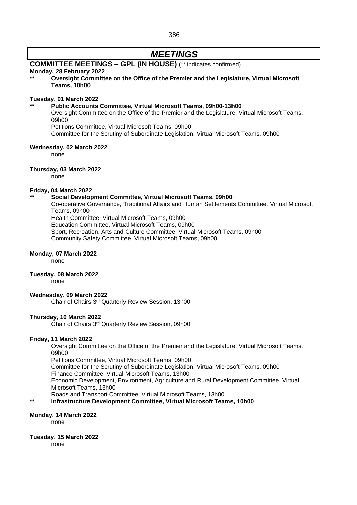386

## *MEETINGS*

## **COMMITTEE MEETINGS – GPL (IN HOUSE)** (\*\* indicates confirmed)

#### **Monday, 28 February 2022**

**\*\* Oversight Committee on the Office of the Premier and the Legislature, Virtual Microsoft Teams, 10h00**

#### **Tuesday, 01 March 2022**

#### **\*\* Public Accounts Committee, Virtual Microsoft Teams, 09h00-13h00**

Oversight Committee on the Office of the Premier and the Legislature, Virtual Microsoft Teams, 09h00

Petitions Committee, Virtual Microsoft Teams, 09h00

Committee for the Scrutiny of Subordinate Legislation, Virtual Microsoft Teams, 09h00

#### **Wednesday, 02 March 2022**

none

#### **Thursday, 03 March 2022**

none

#### **Friday, 04 March 2022**

#### **\*\* Social Development Committee, Virtual Microsoft Teams, 09h00**

Co-operative Governance, Traditional Affairs and Human Settlements Committee, Virtual Microsoft Teams, 09h00

Health Committee, Virtual Microsoft Teams, 09h00

Education Committee, Virtual Microsoft Teams, 09h00 Sport, Recreation, Arts and Culture Committee, Virtual Microsoft Teams, 09h00

Community Safety Committee, Virtual Microsoft Teams, 09h00

#### **Monday, 07 March 2022**

none

#### **Tuesday, 08 March 2022**

none

#### **Wednesday, 09 March 2022**

Chair of Chairs 3rd Quarterly Review Session, 13h00

#### **Thursday, 10 March 2022**

Chair of Chairs 3rd Quarterly Review Session, 09h00

#### **Friday, 11 March 2022**

Oversight Committee on the Office of the Premier and the Legislature, Virtual Microsoft Teams, 09h00

Petitions Committee, Virtual Microsoft Teams, 09h00

Committee for the Scrutiny of Subordinate Legislation, Virtual Microsoft Teams, 09h00 Finance Committee, Virtual Microsoft Teams, 13h00

Economic Development, Environment, Agriculture and Rural Development Committee, Virtual Microsoft Teams, 13h00

Roads and Transport Committee, Virtual Microsoft Teams, 13h00

#### **\*\* Infrastructure Development Committee, Virtual Microsoft Teams, 10h00**

#### **Monday, 14 March 2022**

none

#### **Tuesday, 15 March 2022**

none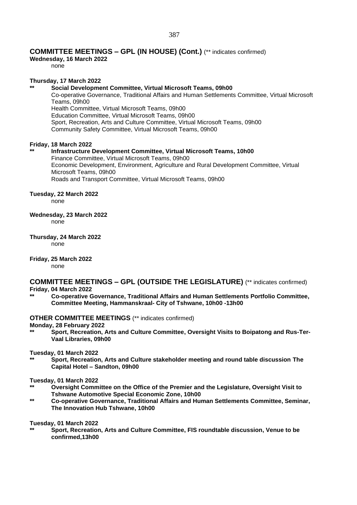#### **COMMITTEE MEETINGS – GPL (IN HOUSE) (Cont.)** (\*\* indicates confirmed)

**Wednesday, 16 March 2022**

none

#### **Thursday, 17 March 2022**

#### **\*\* Social Development Committee, Virtual Microsoft Teams, 09h00**

Co-operative Governance, Traditional Affairs and Human Settlements Committee, Virtual Microsoft Teams, 09h00 Health Committee, Virtual Microsoft Teams, 09h00 Education Committee, Virtual Microsoft Teams, 09h00 Sport, Recreation, Arts and Culture Committee, Virtual Microsoft Teams, 09h00 Community Safety Committee, Virtual Microsoft Teams, 09h00

#### **Friday, 18 March 2022**

#### **\*\* Infrastructure Development Committee, Virtual Microsoft Teams, 10h00**

Finance Committee, Virtual Microsoft Teams, 09h00 Economic Development, Environment, Agriculture and Rural Development Committee, Virtual Microsoft Teams, 09h00 Roads and Transport Committee, Virtual Microsoft Teams, 09h00

#### **Tuesday, 22 March 2022**

none

#### **Wednesday, 23 March 2022**

none

#### **Thursday, 24 March 2022**

none

## **Friday, 25 March 2022**

none

## **COMMITTEE MEETINGS – GPL (OUTSIDE THE LEGISLATURE)** (\*\* indicates confirmed)

#### **Friday, 04 March 2022**

**\*\* Co-operative Governance, Traditional Affairs and Human Settlements Portfolio Committee, Committee Meeting, Hammanskraal- City of Tshwane, 10h00 -13h00**

#### **OTHER COMMITTEE MEETINGS** (\*\* indicates confirmed)

#### **Monday, 28 February 2022**

**\*\* Sport, Recreation, Arts and Culture Committee, Oversight Visits to Boipatong and Rus-Ter-Vaal Libraries, 09h00**

#### **Tuesday, 01 March 2022**

**\*\* Sport, Recreation, Arts and Culture stakeholder meeting and round table discussion The Capital Hotel – Sandton, 09h00**

#### **Tuesday, 01 March 2022**

- **\*\* Oversight Committee on the Office of the Premier and the Legislature, Oversight Visit to Tshwane Automotive Special Economic Zone, 10h00**
- **\*\* Co-operative Governance, Traditional Affairs and Human Settlements Committee, Seminar, The Innovation Hub Tshwane, 10h00**

#### **Tuesday, 01 March 2022**

**\*\* Sport, Recreation, Arts and Culture Committee, FIS roundtable discussion, Venue to be confirmed,13h00**